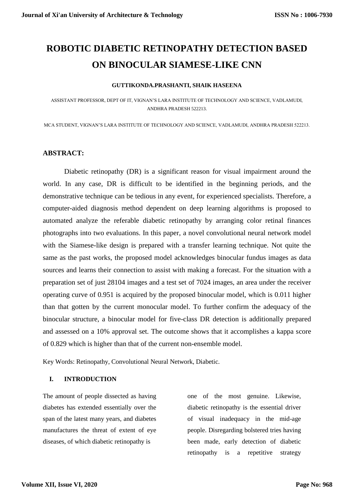# **ROBOTIC DIABETIC RETINOPATHY DETECTION BASED ON BINOCULAR SIAMESE-LIKE CNN**

#### **GUTTIKONDA.PRASHANTI, SHAIK HASEENA**

ASSISTANT PROFESSOR, DEPT OF IT, VIGNAN'S LARA INSTITUTE OF TECHNOLOGY AND SCIENCE, VADLAMUDI, ANDHRA PRADESH 522213.

MCA STUDENT, VIGNAN'S LARA INSTITUTE OF TECHNOLOGY AND SCIENCE, VADLAMUDI, ANDHRA PRADESH 522213.

## **ABSTRACT:**

Diabetic retinopathy (DR) is a significant reason for visual impairment around the world. In any case, DR is difficult to be identified in the beginning periods, and the demonstrative technique can be tedious in any event, for experienced specialists. Therefore, a computer-aided diagnosis method dependent on deep learning algorithms is proposed to automated analyze the referable diabetic retinopathy by arranging color retinal finances photographs into two evaluations. In this paper, a novel convolutional neural network model with the Siamese-like design is prepared with a transfer learning technique. Not quite the same as the past works, the proposed model acknowledges binocular fundus images as data sources and learns their connection to assist with making a forecast. For the situation with a preparation set of just 28104 images and a test set of 7024 images, an area under the receiver operating curve of 0.951 is acquired by the proposed binocular model, which is 0.011 higher than that gotten by the current monocular model. To further confirm the adequacy of the binocular structure, a binocular model for five-class DR detection is additionally prepared and assessed on a 10% approval set. The outcome shows that it accomplishes a kappa score of 0.829 which is higher than that of the current non-ensemble model.

Key Words: Retinopathy, Convolutional Neural Network, Diabetic.

#### **I. INTRODUCTION**

The amount of people dissected as having diabetes has extended essentially over the span of the latest many years, and diabetes manufactures the threat of extent of eye diseases, of which diabetic retinopathy is

one of the most genuine. Likewise, diabetic retinopathy is the essential driver of visual inadequacy in the mid-age people. Disregarding bolstered tries having been made, early detection of diabetic retinopathy is a repetitive strategy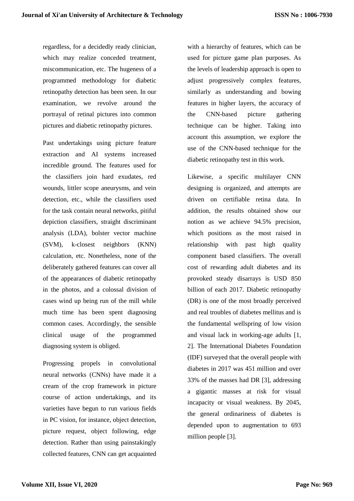regardless, for a decidedly ready clinician, which may realize conceded treatment, miscommunication, etc. The hugeness of a programmed methodology for diabetic retinopathy detection has been seen. In our examination, we revolve around the portrayal of retinal pictures into common pictures and diabetic retinopathy pictures.

Past undertakings using picture feature extraction and AI systems increased incredible ground. The features used for the classifiers join hard exudates, red wounds, littler scope aneurysms, and vein detection, etc., while the classifiers used for the task contain neural networks, pitiful depiction classifiers, straight discriminant analysis (LDA), bolster vector machine (SVM), k-closest neighbors (KNN) calculation, etc. Nonetheless, none of the deliberately gathered features can cover all of the appearances of diabetic retinopathy in the photos, and a colossal division of cases wind up being run of the mill while much time has been spent diagnosing common cases. Accordingly, the sensible clinical usage of the programmed diagnosing system is obliged.

Progressing propels in convolutional neural networks (CNNs) have made it a cream of the crop framework in picture course of action undertakings, and its varieties have begun to run various fields in PC vision, for instance, object detection, picture request, object following, edge detection. Rather than using painstakingly collected features, CNN can get acquainted with a hierarchy of features, which can be used for picture game plan purposes. As the levels of leadership approach is open to adjust progressively complex features, similarly as understanding and bowing features in higher layers, the accuracy of the CNN-based picture gathering technique can be higher. Taking into account this assumption, we explore the use of the CNN-based technique for the diabetic retinopathy test in this work.

Likewise, a specific multilayer CNN designing is organized, and attempts are driven on certifiable retina data. In addition, the results obtained show our notion as we achieve 94.5% precision, which positions as the most raised in relationship with past high quality component based classifiers. The overall cost of rewarding adult diabetes and its provoked steady disarrays is USD 850 billion of each 2017. Diabetic retinopathy (DR) is one of the most broadly perceived and real troubles of diabetes mellitus and is the fundamental wellspring of low vision and visual lack in working-age adults [1, 2]. The International Diabetes Foundation (IDF) surveyed that the overall people with diabetes in 2017 was 451 million and over 33% of the masses had DR [3], addressing a gigantic masses at risk for visual incapacity or visual weakness. By 2045, the general ordinariness of diabetes is depended upon to augmentation to 693 million people [3].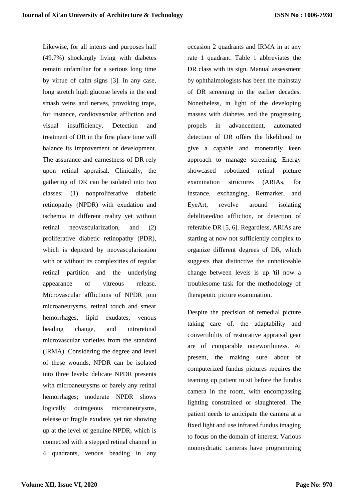Likewise, for all intents and purposes half (49.7%) shockingly living with diabetes remain unfamiliar for a serious long time by virtue of calm signs [3]. In any case, long stretch high glucose levels in the end smash veins and nerves, provoking traps, for instance, cardiovascular affliction and visual insufficiency. Detection and treatment of DR in the first place time will balance its improvement or development. The assurance and earnestness of DR rely upon retinal appraisal. Clinically, the gathering of DR can be isolated into two classes: (1) nonproliferative diabetic retinopathy (NPDR) with exudation and ischemia in different reality yet without retinal neovascularization, and (2) proliferative diabetic retinopathy (PDR), which is depicted by neovascularization with or without its complexities of regular retinal partition and the underlying appearance of vitreous release. Microvascular afflictions of NPDR join microaneurysms, retinal touch and smear hemorrhages, lipid exudates, venous beading change, and intraretinal microvascular varieties from the standard (IRMA). Considering the degree and level of these wounds, NPDR can be isolated into three levels: delicate NPDR presents with microaneurysms or barely any retinal hemorrhages; moderate NPDR shows logically outrageous microaneurysms, release or fragile exudate, yet not showing up at the level of genuine NPDR, which is connected with a stepped retinal channel in 4 quadrants, venous beading in any

occasion 2 quadrants and IRMA in at any rate 1 quadrant. Table 1 abbreviates the DR class with its sign. Manual assessment by ophthalmologists has been the mainstay of DR screening in the earlier decades. Nonetheless, in light of the developing masses with diabetes and the progressing propels in advancement, automated detection of DR offers the likelihood to give a capable and monetarily keen approach to manage screening. Energy showcased robotized retinal picture examination structures (ARIAs, for instance, exchanging, Retmarker, and EyeArt, revolve around isolating debilitated/no affliction, or detection of referable DR [5, 6]. Regardless, ARIAs are starting at now not sufficiently complex to organize different degrees of DR, which suggests that distinctive the unnoticeable change between levels is up 'til now a troublesome task for the methodology of therapeutic picture examination.

Despite the precision of remedial picture taking care of, the adaptability and convertibility of restorative appraisal gear are of comparable noteworthiness. At present, the making sure about of computerized fundus pictures requires the teaming up patient to sit before the fundus camera in the room, with encompassing lighting constrained or slaughtered. The patient needs to anticipate the camera at a fixed light and use infrared fundus imaging to focus on the domain of interest. Various nonmydriatic cameras have programming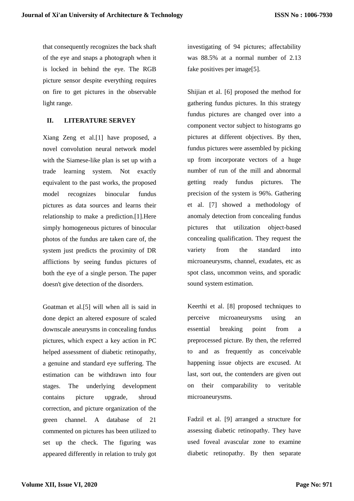that consequently recognizes the back shaft of the eye and snaps a photograph when it is locked in behind the eye. The RGB picture sensor despite everything requires on fire to get pictures in the observable light range.

## **II. LITERATURE SERVEY**

Xiang Zeng et al.[1] have proposed, a novel convolution neural network model with the Siamese-like plan is set up with a trade learning system. Not exactly equivalent to the past works, the proposed model recognizes binocular fundus pictures as data sources and learns their relationship to make a prediction.[1].Here simply homogeneous pictures of binocular photos of the fundus are taken care of, the system just predicts the proximity of DR afflictions by seeing fundus pictures of both the eye of a single person. The paper doesn't give detection of the disorders.

Goatman et al.[5] will when all is said in done depict an altered exposure of scaled downscale aneurysms in concealing fundus pictures, which expect a key action in PC helped assessment of diabetic retinopathy, a genuine and standard eye suffering. The estimation can be withdrawn into four stages. The underlying development contains picture upgrade, shroud correction, and picture organization of the green channel. A database of 21 commented on pictures has been utilized to set up the check. The figuring was appeared differently in relation to truly got investigating of 94 pictures; affectability was 88.5% at a normal number of 2.13 fake positives per image[5].

Shijian et al. [6] proposed the method for gathering fundus pictures. In this strategy fundus pictures are changed over into a component vector subject to histograms go pictures at different objectives. By then, fundus pictures were assembled by picking up from incorporate vectors of a huge number of run of the mill and abnormal getting ready fundus pictures. The precision of the system is 96%. Gathering et al. [7] showed a methodology of anomaly detection from concealing fundus pictures that utilization object-based concealing qualification. They request the variety from the standard into microaneurysms, channel, exudates, etc as spot class, uncommon veins, and sporadic sound system estimation.

Keerthi et al. [8] proposed techniques to perceive microaneurysms using an essential breaking point from a preprocessed picture. By then, the referred to and as frequently as conceivable happening issue objects are excused. At last, sort out, the contenders are given out on their comparability to veritable microaneurysms.

Fadzil et al. [9] arranged a structure for assessing diabetic retinopathy. They have used foveal avascular zone to examine diabetic retinopathy. By then separate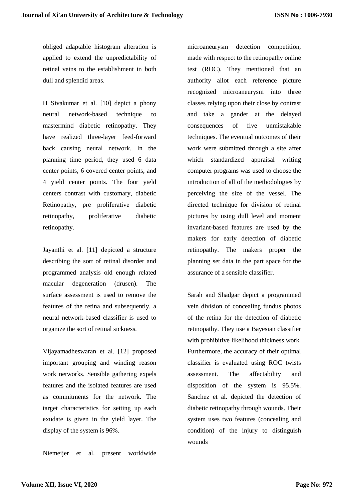obliged adaptable histogram alteration is applied to extend the unpredictability of retinal veins to the establishment in both dull and splendid areas.

H Sivakumar et al. [10] depict a phony neural network-based technique to mastermind diabetic retinopathy. They have realized three-layer feed-forward back causing neural network. In the planning time period, they used 6 data center points, 6 covered center points, and 4 yield center points. The four yield centers contrast with customary, diabetic Retinopathy, pre proliferative diabetic retinopathy, proliferative diabetic retinopathy.

Jayanthi et al. [11] depicted a structure describing the sort of retinal disorder and programmed analysis old enough related macular degeneration (drusen). The surface assessment is used to remove the features of the retina and subsequently, a neural network-based classifier is used to organize the sort of retinal sickness.

Vijayamadheswaran et al. [12] proposed important grouping and winding reason work networks. Sensible gathering expels features and the isolated features are used as commitments for the network. The target characteristics for setting up each exudate is given in the yield layer. The display of the system is 96%.

Niemeijer et al. present worldwide

microaneurysm detection competition, made with respect to the retinopathy online test (ROC). They mentioned that an authority allot each reference picture recognized microaneurysm into three classes relying upon their close by contrast and take a gander at the delayed consequences of five unmistakable techniques. The eventual outcomes of their work were submitted through a site after which standardized appraisal writing computer programs was used to choose the introduction of all of the methodologies by perceiving the size of the vessel. The directed technique for division of retinal pictures by using dull level and moment invariant-based features are used by the makers for early detection of diabetic retinopathy. The makers proper the planning set data in the part space for the assurance of a sensible classifier.

Sarah and Shadgar depict a programmed vein division of concealing fundus photos of the retina for the detection of diabetic retinopathy. They use a Bayesian classifier with prohibitive likelihood thickness work. Furthermore, the accuracy of their optimal classifier is evaluated using ROC twists assessment. The affectability and disposition of the system is 95.5%. Sanchez et al. depicted the detection of diabetic retinopathy through wounds. Their system uses two features (concealing and condition) of the injury to distinguish wounds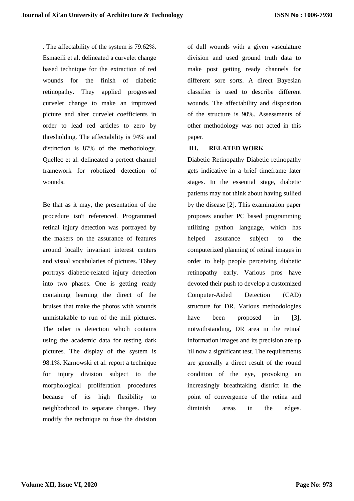. The affectability of the system is 79.62%. Esmaeili et al. delineated a curvelet change based technique for the extraction of red wounds for the finish of diabetic retinopathy. They applied progressed curvelet change to make an improved picture and alter curvelet coefficients in order to lead red articles to zero by thresholding. The affectability is 94% and distinction is 87% of the methodology. Quellec et al. delineated a perfect channel framework for robotized detection of wounds.

Be that as it may, the presentation of the procedure isn't referenced. Programmed retinal injury detection was portrayed by the makers on the assurance of features around locally invariant interest centers and visual vocabularies of pictures. T6hey portrays diabetic-related injury detection into two phases. One is getting ready containing learning the direct of the bruises that make the photos with wounds unmistakable to run of the mill pictures. The other is detection which contains using the academic data for testing dark pictures. The display of the system is 98.1%. Karnowski et al. report a technique for injury division subject to the morphological proliferation procedures because of its high flexibility to neighborhood to separate changes. They modify the technique to fuse the division of dull wounds with a given vasculature division and used ground truth data to make post getting ready channels for different sore sorts. A direct Bayesian classifier is used to describe different wounds. The affectability and disposition of the structure is 90%. Assessments of other methodology was not acted in this paper.

## **III. RELATED WORK**

Diabetic Retinopathy Diabetic retinopathy gets indicative in a brief timeframe later stages. In the essential stage, diabetic patients may not think about having sullied by the disease [2]. This examination paper proposes another PC based programming utilizing python language, which has helped assurance subject to the computerized planning of retinal images in order to help people perceiving diabetic retinopathy early. Various pros have devoted their push to develop a customized Computer-Aided Detection (CAD) structure for DR. Various methodologies have been proposed in [3], notwithstanding, DR area in the retinal information images and its precision are up 'til now a significant test. The requirements are generally a direct result of the round condition of the eye, provoking an increasingly breathtaking district in the point of convergence of the retina and diminish areas in the edges.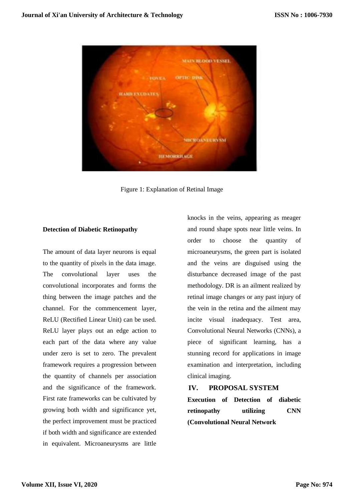

Figure 1: Explanation of Retinal Image

# **Detection of Diabetic Retinopathy**

The amount of data layer neurons is equal to the quantity of pixels in the data image. The convolutional layer uses the convolutional incorporates and forms the thing between the image patches and the channel. For the commencement layer, ReLU (Rectified Linear Unit) can be used. ReLU layer plays out an edge action to each part of the data where any value under zero is set to zero. The prevalent framework requires a progression between the quantity of channels per association and the significance of the framework. First rate frameworks can be cultivated by growing both width and significance yet, the perfect improvement must be practiced if both width and significance are extended in equivalent. Microaneurysms are little knocks in the veins, appearing as meager and round shape spots near little veins. In order to choose the quantity of microaneurysms, the green part is isolated and the veins are disguised using the disturbance decreased image of the past methodology. DR is an ailment realized by retinal image changes or any past injury of the vein in the retina and the ailment may incite visual inadequacy. Test area, Convolutional Neural Networks (CNNs), a piece of significant learning, has a stunning record for applications in image examination and interpretation, including clinical imaging.

# **IV. PROPOSAL SYSTEM**

**Execution of Detection of diabetic retinopathy utilizing CNN (Convolutional Neural Network**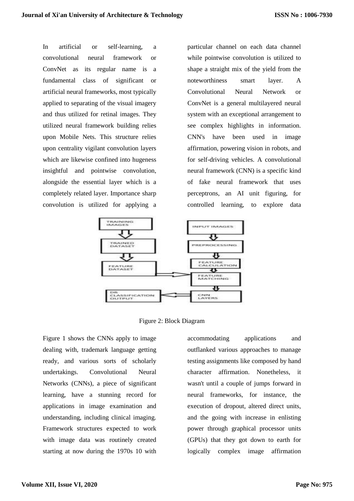In artificial or self-learning, a convolutional neural framework or ConvNet as its regular name is a fundamental class of significant or artificial neural frameworks, most typically applied to separating of the visual imagery and thus utilized for retinal images. They utilized neural framework building relies upon Mobile Nets. This structure relies upon centrality vigilant convolution layers which are likewise confined into hugeness insightful and pointwise convolution, alongside the essential layer which is a completely related layer. Importance sharp convolution is utilized for applying a particular channel on each data channel while pointwise convolution is utilized to shape a straight mix of the yield from the noteworthiness smart layer. A Convolutional Neural Network or ConvNet is a general multilayered neural system with an exceptional arrangement to see complex highlights in information. CNN's have been used in image affirmation, powering vision in robots, and for self-driving vehicles. A convolutional neural framework (CNN) is a specific kind of fake neural framework that uses perceptrons, an AI unit figuring, for controlled learning, to explore data





Figure 1 shows the CNNs apply to image dealing with, trademark language getting ready, and various sorts of scholarly undertakings. Convolutional Neural Networks (CNNs), a piece of significant learning, have a stunning record for applications in image examination and understanding, including clinical imaging. Framework structures expected to work with image data was routinely created starting at now during the 1970s 10 with

accommodating applications and outflanked various approaches to manage testing assignments like composed by hand character affirmation. Nonetheless, it wasn't until a couple of jumps forward in neural frameworks, for instance, the execution of dropout, altered direct units, and the going with increase in enlisting power through graphical processor units (GPUs) that they got down to earth for logically complex image affirmation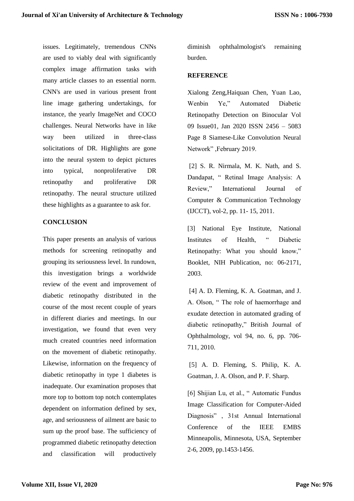issues. Legitimately, tremendous CNNs are used to viably deal with significantly complex image affirmation tasks with many article classes to an essential norm. CNN's are used in various present front line image gathering undertakings, for instance, the yearly ImageNet and COCO challenges. Neural Networks have in like way been utilized in three-class solicitations of DR. Highlights are gone into the neural system to depict pictures into typical, nonproliferative DR retinopathy and proliferative DR retinopathy. The neural structure utilized these highlights as a guarantee to ask for.

#### **CONCLUSION**

This paper presents an analysis of various methods for screening retinopathy and grouping its seriousness level. In rundown, this investigation brings a worldwide review of the event and improvement of diabetic retinopathy distributed in the course of the most recent couple of years in different diaries and meetings. In our investigation, we found that even very much created countries need information on the movement of diabetic retinopathy. Likewise, information on the frequency of diabetic retinopathy in type 1 diabetes is inadequate. Our examination proposes that more top to bottom top notch contemplates dependent on information defined by sex, age, and seriousness of ailment are basic to sum up the proof base. The sufficiency of programmed diabetic retinopathy detection and classification will productively

diminish ophthalmologist's remaining burden.

## **REFERENCE**

Xialong Zeng,Haiquan Chen, Yuan Lao, Wenbin Ye," Automated Diabetic Retinopathy Detection on Binocular Vol 09 Issue01, Jan 2020 ISSN 2456 – 5083 Page 8 Siamese-Like Convolution Neural Network" ,February 2019.

[2] S. R. Nirmala, M. K. Nath, and S. Dandapat, " Retinal Image Analysis: A Review," International Journal of Computer & Communication Technology (IJCCT), vol-2, pp. 11- 15, 2011.

[3] National Eye Institute, National Institutes of Health, " Diabetic Retinopathy: What you should know," Booklet, NIH Publication, no: 06-2171, 2003.

[4] A. D. Fleming, K. A. Goatman, and J. A. Olson, " The role of haemorrhage and exudate detection in automated grading of diabetic retinopathy," British Journal of Ophthalmology, vol 94, no. 6, pp. 706- 711, 2010.

[5] A. D. Fleming, S. Philip, K. A. Goatman, J. A. Olson, and P. F. Sharp.

[6] Shijian Lu, et al., " Automatic Fundus Image Classification for Computer-Aided Diagnosis" , 31st Annual International Conference of the IEEE EMBS Minneapolis, Minnesota, USA, September 2-6, 2009, pp.1453-1456.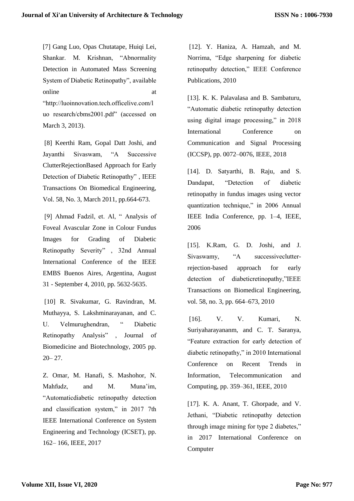[7] Gang Luo, Opas Chutatape, Huiqi Lei, Shankar. M. Krishnan, "Abnormality Detection in Automated Mass Screening System of Diabetic Retinopathy", available online at a state of  $\alpha$  at a state of  $\alpha$  at a state of  $\alpha$  at a state of  $\alpha$  at a state of  $\alpha$  at a state of  $\alpha$  at a state of  $\alpha$  at a state of  $\alpha$  at a state of  $\alpha$  at a state of  $\alpha$  at a state of  $\alpha$  at a s "http://luoinnovation.tech.officelive.com/l uo research/cbms2001.pdf" (accessed on March 3, 2013).

[8] Keerthi Ram, Gopal Datt Joshi, and Jayanthi Sivaswam, "A Successive ClutterRejectionBased Approach for Early Detection of Diabetic Retinopathy" , IEEE Transactions On Biomedical Engineering, Vol. 58, No. 3, March 2011, pp.664-673.

[9] Ahmad Fadzil, et. Al, " Analysis of Foveal Avascular Zone in Colour Fundus Images for Grading of Diabetic Retinopathy Severity" , 32nd Annual International Conference of the IEEE EMBS Buenos Aires, Argentina, August 31 - September 4, 2010, pp. 5632-5635.

[10] R. Sivakumar, G. Ravindran, M. Muthayya, S. Lakshminarayanan, and C. U. Velmurughendran, " Diabetic Retinopathy Analysis" , Journal of Biomedicine and Biotechnology, 2005 pp.  $20 - 27$ .

Z. Omar, M. Hanafi, S. Mashohor, N. Mahfudz, and M. Muna'im, "Automaticdiabetic retinopathy detection and classification system," in 2017 7th IEEE International Conference on System Engineering and Technology (ICSET), pp. 162– 166, IEEE, 2017

[12]. Y. Haniza, A. Hamzah, and M. Norrima, "Edge sharpening for diabetic retinopathy detection," IEEE Conference Publications, 2010

[13]. K. K. Palavalasa and B. Sambaturu, "Automatic diabetic retinopathy detection using digital image processing," in 2018 International Conference on Communication and Signal Processing (ICCSP), pp. 0072–0076, IEEE, 2018

[14]. D. Satyarthi, B. Raju, and S. Dandapat, "Detection of diabetic retinopathy in fundus images using vector quantization technique," in 2006 Annual IEEE India Conference, pp. 1–4, IEEE, 2006

[15]. K.Ram, G. D. Joshi, and J. Sivaswamy, "A successiveclutterrejection-based approach for early detection of diabeticretinopathy,"IEEE Transactions on Biomedical Engineering, vol. 58, no. 3, pp. 664–673, 2010

[16]. V. V. Kumari, N. Suriyaharayananm, and C. T. Saranya, "Feature extraction for early detection of diabetic retinopathy," in 2010 International Conference on Recent Trends in Information, Telecommunication and Computing, pp. 359–361, IEEE, 2010

[17]. K. A. Anant, T. Ghorpade, and V. Jethani, "Diabetic retinopathy detection through image mining for type 2 diabetes," in 2017 International Conference on **Computer**